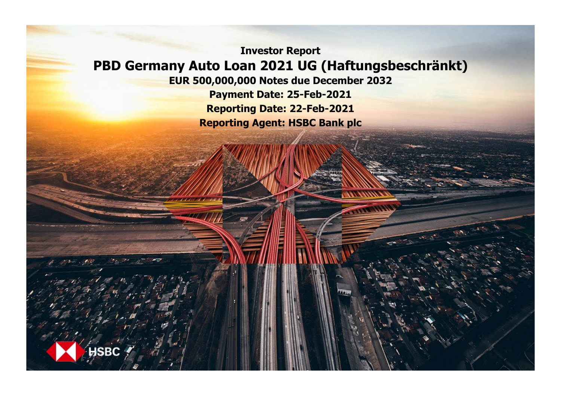**Investor Report PBD Germany Auto Loan 2021 UG (Haftungsbeschränkt)**

**EUR 500,000,000 Notes due December 2032 Payment Date: 25-Feb-2021 Reporting Date: 22-Feb-2021 Reporting Agent: HSBC Bank plc**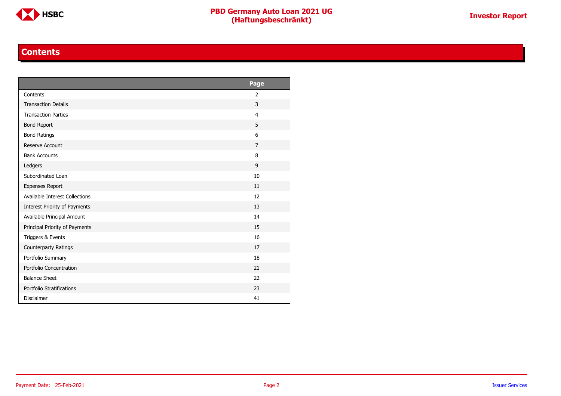

#### **Contents**

<span id="page-1-0"></span>

|                                | Page           |
|--------------------------------|----------------|
| Contents                       | 2              |
| <b>Transaction Details</b>     | 3              |
| <b>Transaction Parties</b>     | $\overline{4}$ |
| <b>Bond Report</b>             | 5              |
| <b>Bond Ratings</b>            | 6              |
| Reserve Account                | $\overline{7}$ |
| <b>Bank Accounts</b>           | 8              |
| Ledgers                        | 9              |
| Subordinated Loan              | 10             |
| <b>Expenses Report</b>         | 11             |
| Available Interest Collections | 12             |
| Interest Priority of Payments  | 13             |
| Available Principal Amount     | 14             |
| Principal Priority of Payments | 15             |
| Triggers & Events              | 16             |
| Counterparty Ratings           | 17             |
| Portfolio Summary              | 18             |
| Portfolio Concentration        | 21             |
| <b>Balance Sheet</b>           | 22             |
| Portfolio Stratifications      | 23             |
| <b>Disclaimer</b>              | 41             |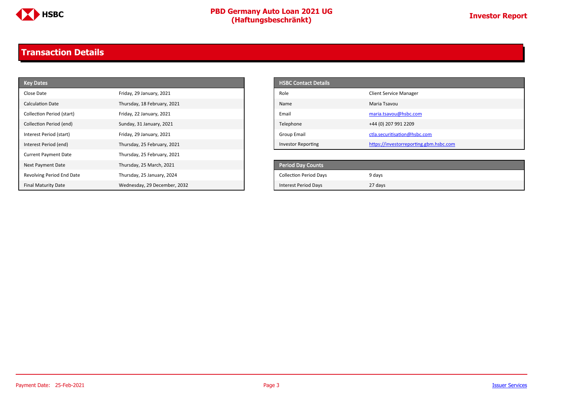

### <span id="page-2-0"></span>**Transaction Details**

| <b>Key Dates</b>            |                              | <b>HSBC Contact Details</b>   |                                        |
|-----------------------------|------------------------------|-------------------------------|----------------------------------------|
| Close Date                  | Friday, 29 January, 2021     | Role                          | <b>Client Service Manager</b>          |
| <b>Calculation Date</b>     | Thursday, 18 February, 2021  | Name                          | Maria Tsavou                           |
| Collection Period (start)   | Friday, 22 January, 2021     | Email                         | maria.tsavou@hsbc.com                  |
| Collection Period (end)     | Sunday, 31 January, 2021     | Telephone                     | +44 (0) 207 991 2209                   |
| Interest Period (start)     | Friday, 29 January, 2021     | <b>Group Email</b>            | ctla.securitisation@hsbc.com           |
| Interest Period (end)       | Thursday, 25 February, 2021  | <b>Investor Reporting</b>     | https://investorreporting.gbm.hsbc.com |
| <b>Current Payment Date</b> | Thursday, 25 February, 2021  |                               |                                        |
| Next Payment Date           | Thursday, 25 March, 2021     | <b>Period Day Counts</b>      |                                        |
| Revolving Period End Date   | Thursday, 25 January, 2024   | <b>Collection Period Days</b> | 9 days                                 |
| <b>Final Maturity Date</b>  | Wednesday, 29 December, 2032 | <b>Interest Period Days</b>   | 27 days                                |

| <b>HSBC Contact Details</b> |                                        |
|-----------------------------|----------------------------------------|
| Role                        | <b>Client Service Manager</b>          |
| Name                        | Maria Tsavou                           |
| Email                       | maria.tsavou@hsbc.com                  |
| Telephone                   | +44 (0) 207 991 2209                   |
| Group Email                 | ctla.securitisation@hsbc.com           |
| <b>Investor Reporting</b>   | https://investorreporting.gbm.hsbc.com |

| <b>Period Day Counts</b>      |         |
|-------------------------------|---------|
| <b>Collection Period Days</b> | 9 days  |
| Interest Period Days          | 27 days |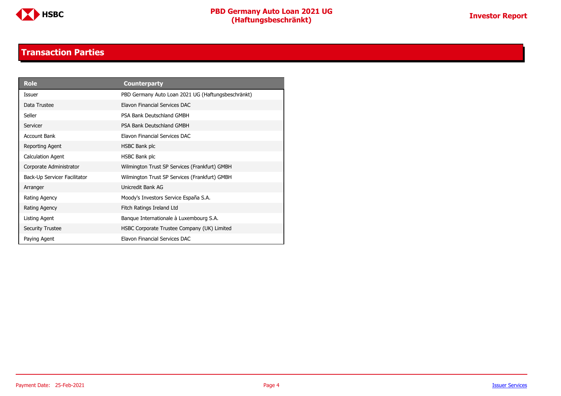

#### **Transaction Parties**

<span id="page-3-0"></span>

| <b>Role</b>                  | <b>Counterparty</b>                                |
|------------------------------|----------------------------------------------------|
| Issuer                       | PBD Germany Auto Loan 2021 UG (Haftungsbeschränkt) |
| Data Trustee                 | Elavon Financial Services DAC                      |
| Seller                       | PSA Bank Deutschland GMBH                          |
| Servicer                     | PSA Bank Deutschland GMBH                          |
| Account Bank                 | Elavon Financial Services DAC                      |
| Reporting Agent              | HSBC Bank plc                                      |
| <b>Calculation Agent</b>     | HSBC Bank plc                                      |
| Corporate Administrator      | Wilmington Trust SP Services (Frankfurt) GMBH      |
| Back-Up Servicer Facilitator | Wilmington Trust SP Services (Frankfurt) GMBH      |
| Arranger                     | Unicredit Bank AG                                  |
| Rating Agency                | Moody's Investors Service España S.A.              |
| Rating Agency                | Fitch Ratings Ireland Ltd                          |
| Listing Agent                | Banque Internationale à Luxembourg S.A.            |
| <b>Security Trustee</b>      | HSBC Corporate Trustee Company (UK) Limited        |
| Paying Agent                 | Elavon Financial Services DAC                      |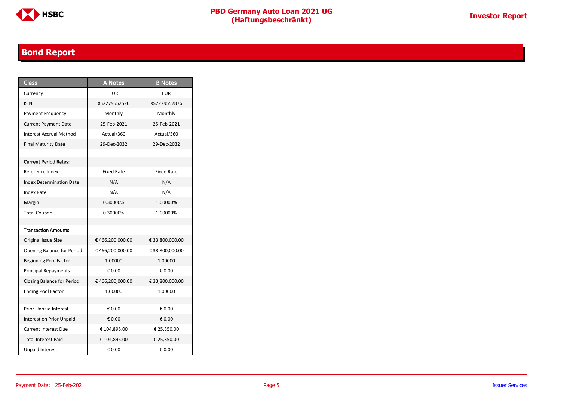

### <span id="page-4-0"></span>**Bond Report**

| <b>Class</b>                      | <b>A Notes</b>    | <b>B</b> Notes    |
|-----------------------------------|-------------------|-------------------|
| Currency                          | <b>EUR</b>        | EUR               |
| <b>ISIN</b>                       | XS2279552520      | XS2279552876      |
| Payment Frequency                 | Monthly           | Monthly           |
| <b>Current Payment Date</b>       | 25-Feb-2021       | 25-Feb-2021       |
| <b>Interest Accrual Method</b>    | Actual/360        | Actual/360        |
| <b>Final Maturity Date</b>        | 29-Dec-2032       | 29-Dec-2032       |
|                                   |                   |                   |
| <b>Current Period Rates:</b>      |                   |                   |
| Reference Index                   | <b>Fixed Rate</b> | <b>Fixed Rate</b> |
| <b>Index Determination Date</b>   | N/A               | N/A               |
| <b>Index Rate</b>                 | N/A               | N/A               |
| Margin                            | 0.30000%          | 1.00000%          |
| <b>Total Coupon</b>               | 0.30000%          | 1.00000%          |
|                                   |                   |                   |
| <b>Transaction Amounts:</b>       |                   |                   |
| Original Issue Size               | €466,200,000.00   | € 33,800,000.00   |
| <b>Opening Balance for Period</b> | €466,200,000.00   | € 33,800,000.00   |
| <b>Beginning Pool Factor</b>      | 1.00000           | 1.00000           |
| <b>Principal Repayments</b>       | € 0.00            | € 0.00            |
| <b>Closing Balance for Period</b> | €466,200,000.00   | € 33,800,000.00   |
| <b>Ending Pool Factor</b>         | 1.00000           | 1.00000           |
|                                   |                   |                   |
| Prior Unpaid Interest             | € 0.00            | € 0.00            |
| Interest on Prior Unpaid          | € 0.00            | € 0.00            |
| <b>Current Interest Due</b>       | € 104,895.00      | € 25,350.00       |
| <b>Total Interest Paid</b>        | € 104,895.00      | € 25,350.00       |
| <b>Unpaid Interest</b>            | € 0.00            | € 0.00            |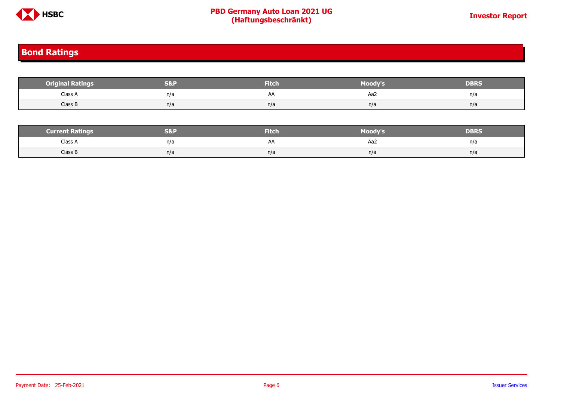

#### <span id="page-5-0"></span>**Bond Ratings**

| <b>Original Ratings</b> | S&I | <b>Fitch</b> | Moody's | <b>DBRS</b> |
|-------------------------|-----|--------------|---------|-------------|
| Class A                 | n/a | AA           | Aa2     | n/a         |
| Class B                 | n/a | n/a          | n/a     | n/a         |
|                         |     |              |         |             |

| <b>Current Ratings</b> | S&F | <b>Fitch</b> | Moody's | DBRS |
|------------------------|-----|--------------|---------|------|
| Class A                | n/a | H            | Aa2     | n/a  |
| Class B                | n/a | n/a          | n/a     | n/a  |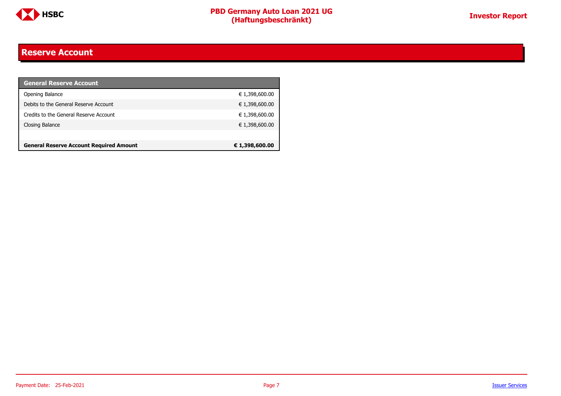

#### <span id="page-6-0"></span>**Reserve Account**

| <b>General Reserve Account</b>                 |                |
|------------------------------------------------|----------------|
| Opening Balance                                | € 1,398,600.00 |
| Debits to the General Reserve Account          | € 1,398,600.00 |
| Credits to the General Reserve Account         | € 1,398,600.00 |
| Closing Balance                                | € 1,398,600.00 |
|                                                |                |
| <b>General Reserve Account Required Amount</b> | € 1,398,600.00 |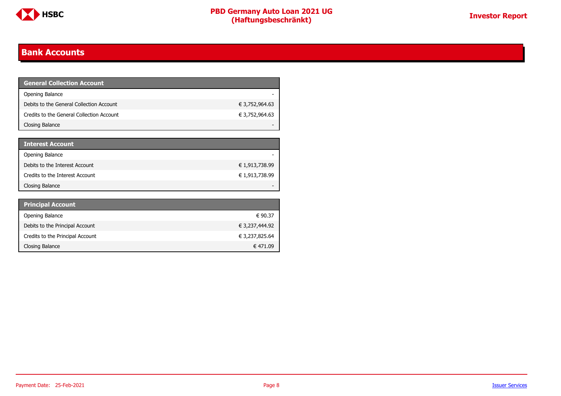

#### <span id="page-7-0"></span>**Bank Accounts**

| <b>General Collection Account</b>         |                |
|-------------------------------------------|----------------|
| Opening Balance                           |                |
| Debits to the General Collection Account  | € 3,752,964.63 |
| Credits to the General Collection Account | € 3,752,964.63 |
| Closing Balance                           |                |

| <b>Interest Account</b>         |                |
|---------------------------------|----------------|
| Opening Balance                 |                |
| Debits to the Interest Account  | € 1,913,738.99 |
| Credits to the Interest Account | € 1,913,738.99 |
| Closing Balance                 |                |

| <b>Principal Account</b>         |                |
|----------------------------------|----------------|
| Opening Balance                  | € 90.37        |
| Debits to the Principal Account  | € 3,237,444.92 |
| Credits to the Principal Account | € 3,237,825.64 |
| Closing Balance                  | € 471.09       |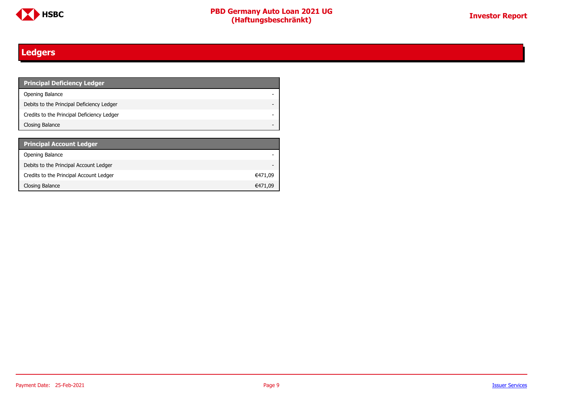

### <span id="page-8-0"></span>**Ledgers**

| <b>Principal Deficiency Ledger</b>         |  |
|--------------------------------------------|--|
| Opening Balance                            |  |
| Debits to the Principal Deficiency Ledger  |  |
| Credits to the Principal Deficiency Ledger |  |
| Closing Balance                            |  |

| <b>Principal Account Ledger</b>         |         |
|-----------------------------------------|---------|
| Opening Balance                         |         |
| Debits to the Principal Account Ledger  |         |
| Credits to the Principal Account Ledger | €471,09 |
| Closing Balance                         | €471.09 |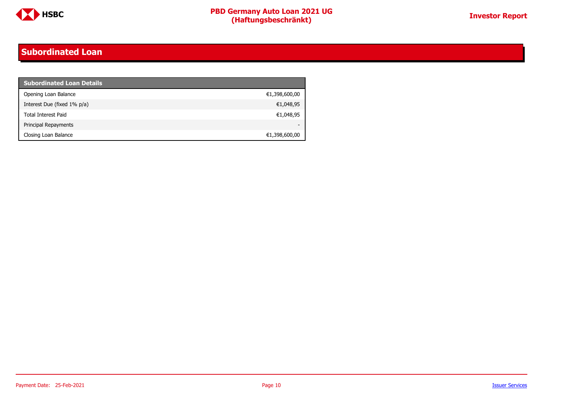

#### <span id="page-9-0"></span>**Subordinated Loan**

| <b>Subordinated Loan Details</b> |               |
|----------------------------------|---------------|
| Opening Loan Balance             | €1,398,600,00 |
| Interest Due (fixed 1% p/a)      | €1,048,95     |
| <b>Total Interest Paid</b>       | €1,048,95     |
| Principal Repayments             |               |
| Closing Loan Balance             | €1,398,600,00 |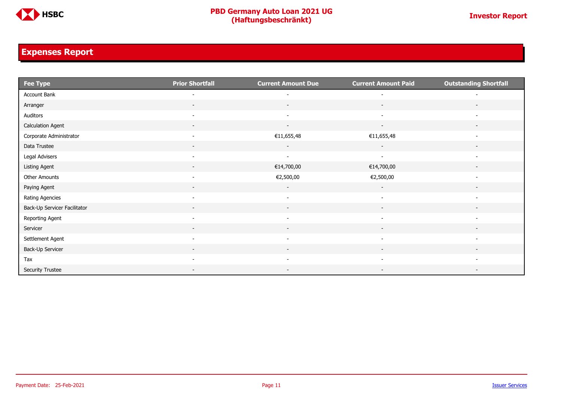

### <span id="page-10-0"></span>**Expenses Report**

| <b>Fee Type</b>              | <b>Prior Shortfall</b>   | <b>Current Amount Due</b> | <b>Current Amount Paid</b> | <b>Outstanding Shortfall</b> |
|------------------------------|--------------------------|---------------------------|----------------------------|------------------------------|
| Account Bank                 | $\overline{\phantom{a}}$ | $\overline{\phantom{a}}$  |                            |                              |
| Arranger                     | $\sim$                   | $\sim$                    | $\sim$                     | $\sim$                       |
| Auditors                     | $\overline{\phantom{a}}$ | $\sim$                    | $\sim$                     |                              |
| <b>Calculation Agent</b>     | $\overline{\phantom{a}}$ | $\sim$                    | $\sim$                     | $\overline{\phantom{a}}$     |
| Corporate Administrator      | $\sim$                   | €11,655,48                | €11,655,48                 | $\overline{\phantom{a}}$     |
| Data Trustee                 | $\sim$                   | $\sim$                    | $\sim$                     | $\overline{\phantom{a}}$     |
| Legal Advisers               | $\sim$                   | $\sim$                    | $\sim$                     |                              |
| Listing Agent                |                          | €14,700,00                | €14,700,00                 |                              |
| Other Amounts                | $\overline{\phantom{a}}$ | €2,500,00                 | €2,500,00                  |                              |
| Paying Agent                 | $\sim$                   | $\sim$                    | $\sim$                     | $\overline{\phantom{0}}$     |
| Rating Agencies              | $\sim$                   | $\sim$                    | $\sim$                     |                              |
| Back-Up Servicer Facilitator | $\overline{\phantom{a}}$ | $\sim$                    | $\sim$                     |                              |
| Reporting Agent              |                          |                           |                            |                              |
| Servicer                     |                          | $\overline{\phantom{a}}$  | $\overline{\phantom{a}}$   |                              |
| Settlement Agent             | $\sim$                   | $\overline{\phantom{a}}$  | $\overline{\phantom{a}}$   | $\overline{\phantom{a}}$     |
| Back-Up Servicer             |                          |                           |                            |                              |
| Tax                          | $\sim$                   | $\overline{\phantom{a}}$  | $\overline{\phantom{0}}$   |                              |
| <b>Security Trustee</b>      |                          | $\overline{\phantom{a}}$  | $\overline{\phantom{a}}$   |                              |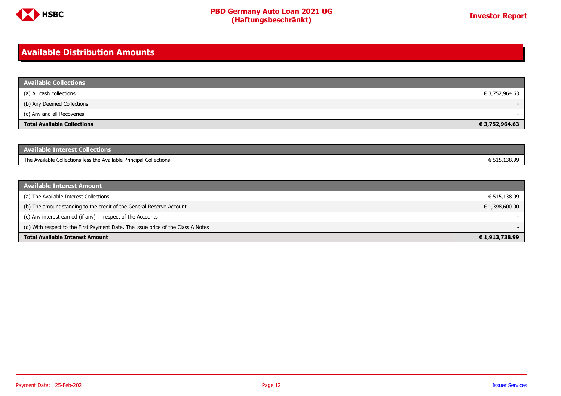

#### <span id="page-11-0"></span>**Available Distribution Amounts**

| <b>Available Collections</b>       |                |
|------------------------------------|----------------|
| (a) All cash collections           | € 3,752,964.63 |
| (b) Any Deemed Collections         |                |
| (c) Any and all Recoveries         |                |
| <b>Total Available Collections</b> | € 3,752,964.63 |

| <b>Available Interest Collections</b>                              |              |
|--------------------------------------------------------------------|--------------|
| The Available Collections less the Available Principal Collections | ፤ 515.138.99 |

| <b>Available Interest Amount</b>                                                 |                |
|----------------------------------------------------------------------------------|----------------|
| (a) The Available Interest Collections                                           | € 515,138.99   |
| (b) The amount standing to the credit of the General Reserve Account             | € 1,398,600.00 |
| (c) Any interest earned (if any) in respect of the Accounts                      |                |
| (d) With respect to the First Payment Date, The issue price of the Class A Notes | $-$            |
| <b>Total Available Interest Amount</b>                                           | € 1,913,738.99 |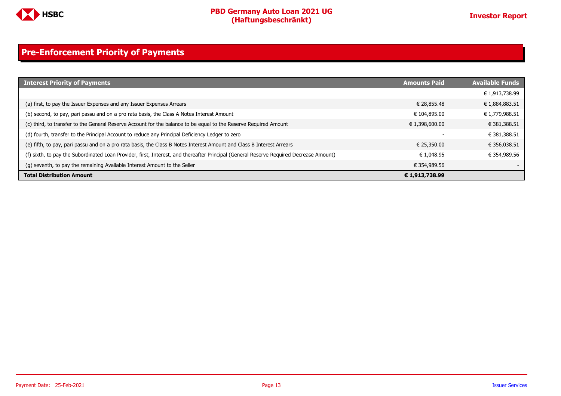

### <span id="page-12-0"></span>**Pre-Enforcement Priority of Payments**

| <b>Interest Priority of Payments</b>                                                                                                   | <b>Amounts Paid</b> | <b>Available Funds</b> |
|----------------------------------------------------------------------------------------------------------------------------------------|---------------------|------------------------|
|                                                                                                                                        |                     | € 1,913,738.99         |
| (a) first, to pay the Issuer Expenses and any Issuer Expenses Arrears                                                                  | € 28.855.48         | € 1,884,883.51         |
| (b) second, to pay, pari passu and on a pro rata basis, the Class A Notes Interest Amount                                              | € 104,895.00        | € 1,779,988.51         |
| (c) third, to transfer to the General Reserve Account for the balance to be equal to the Reserve Required Amount                       | € 1,398,600.00      | € 381,388.51           |
| (d) fourth, transfer to the Principal Account to reduce any Principal Deficiency Ledger to zero                                        |                     | € 381,388.51           |
| (e) fifth, to pay, pari passu and on a pro rata basis, the Class B Notes Interest Amount and Class B Interest Arrears                  | € 25,350,00         | € 356,038.51           |
| (f) sixth, to pay the Subordinated Loan Provider, first, Interest, and thereafter Principal (General Reserve Required Decrease Amount) | € 1.048.95          | € 354,989.56           |
| (g) seventh, to pay the remaining Available Interest Amount to the Seller                                                              | € 354,989.56        |                        |
| <b>Total Distribution Amount</b>                                                                                                       | € 1,913,738.99      |                        |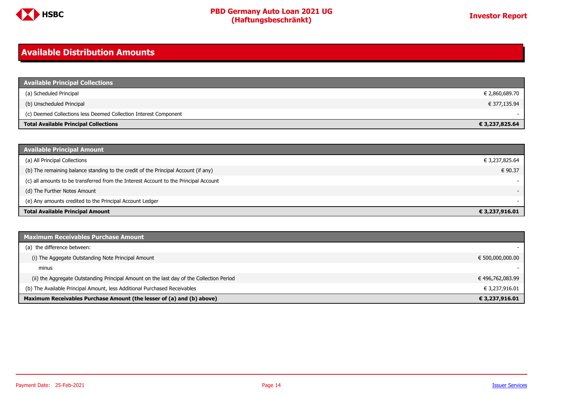

#### <span id="page-13-0"></span>**Available Distribution Amounts**

| <b>Available Principal Collections</b>                           |                |
|------------------------------------------------------------------|----------------|
| (a) Scheduled Principal                                          | € 2,860,689.70 |
| (b) Unscheduled Principal                                        | € 377,135.94   |
| (c) Deemed Collections less Deemed Collection Interest Component |                |
| <b>Total Available Principal Collections</b>                     | € 3,237,825.64 |

| Available Principal Amount                                                           |                |
|--------------------------------------------------------------------------------------|----------------|
| (a) All Principal Collections                                                        | € 3,237,825.64 |
| (b) The remaining balance standing to the credit of the Principal Account (if any)   | € 90.37        |
| (c) all amounts to be transferred from the Interest Account to the Principal Account |                |
| (d) The Further Notes Amount                                                         | $\sim$         |
| (e) Any amounts credited to the Principal Account Ledger                             |                |
| <b>Total Available Principal Amount</b>                                              | € 3,237,916.01 |

| <b>Maximum Receivables Purchase Amount</b>                                               |                  |
|------------------------------------------------------------------------------------------|------------------|
| (a) the difference between:                                                              |                  |
| (i) The Aggegate Outstanding Note Principal Amount                                       | € 500,000,000.00 |
| minus                                                                                    |                  |
| (ii) the Aggregate Outstanding Principal Amount on the last day of the Collection Period | € 496,762,083.99 |
| (b) The Available Principal Amount, less Additional Purchased Receivables                | € 3,237,916.01   |
| Maximum Receivables Purchase Amount (the lesser of (a) and (b) above)                    | € 3,237,916.01   |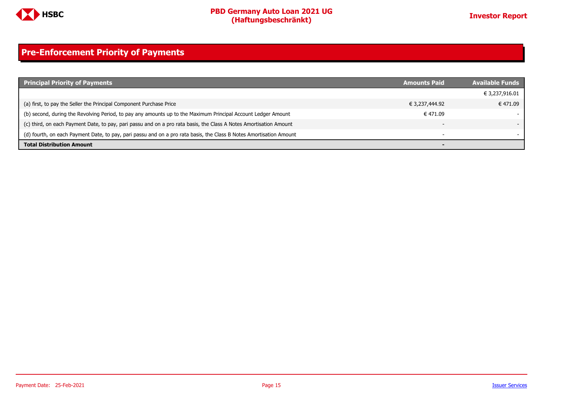

### <span id="page-14-0"></span>**Pre-Enforcement Priority of Payments**

| <b>Principal Priority of Payments</b>                                                                               | <b>Amounts Paid</b> | <b>Available Funds</b>   |
|---------------------------------------------------------------------------------------------------------------------|---------------------|--------------------------|
|                                                                                                                     |                     | € 3,237,916.01           |
| (a) first, to pay the Seller the Principal Component Purchase Price                                                 | € 3,237,444.92      | € 471.09                 |
| (b) second, during the Revolving Period, to pay any amounts up to the Maximum Principal Account Ledger Amount       | € 471.09            |                          |
| (c) third, on each Payment Date, to pay, pari passu and on a pro rata basis, the Class A Notes Amortisation Amount  |                     |                          |
| (d) fourth, on each Payment Date, to pay, pari passu and on a pro rata basis, the Class B Notes Amortisation Amount |                     | $\overline{\phantom{a}}$ |
| <b>Total Distribution Amount</b>                                                                                    |                     |                          |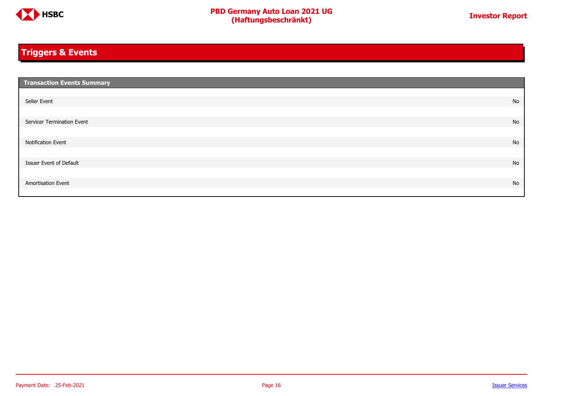

### <span id="page-15-0"></span>**Triggers & Events**

| <b>Transaction Events Summary</b> |    |
|-----------------------------------|----|
|                                   |    |
| Seller Event                      | No |
|                                   |    |
| Servicer Termination Event        | No |
|                                   |    |
| Notification Event                | No |
|                                   |    |
| Issuer Event of Default           | No |
|                                   |    |
| Amortisation Event                | No |
|                                   |    |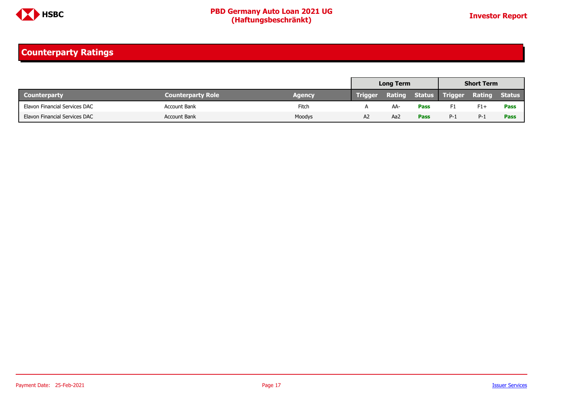

### <span id="page-16-0"></span>**Counterparty Ratings**

|                               |                          |        |                | <b>Long Term</b> |             | <b>Short Term</b>            |               |               |
|-------------------------------|--------------------------|--------|----------------|------------------|-------------|------------------------------|---------------|---------------|
| <b>Counterparty</b>           | <b>Counterparty Role</b> | Agency | <b>Trigger</b> |                  |             | <b>Rating Status Trigger</b> | <b>Rating</b> | <b>Status</b> |
| Elavon Financial Services DAC | Account Bank             | Fitch  |                | AA-              | <b>Pass</b> | F1                           | $F1+$         | Pass          |
| Elavon Financial Services DAC | <b>Account Bank</b>      | Moodys | A2             | Aa2              | <b>Pass</b> | $P-1$                        | $P-1$         | <b>Pass</b>   |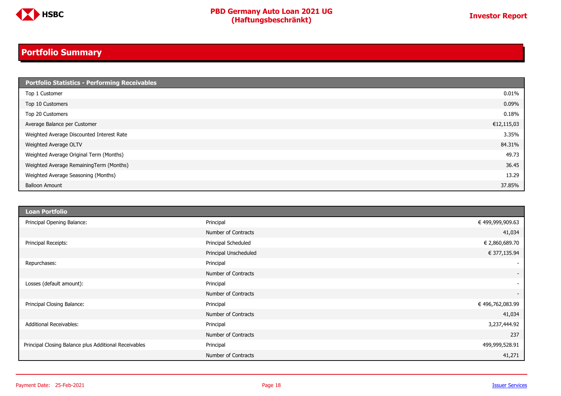

### <span id="page-17-0"></span>**Portfolio Summary**

| <b>Portfolio Statistics - Performing Receivables</b> |            |
|------------------------------------------------------|------------|
| Top 1 Customer                                       | 0.01%      |
| Top 10 Customers                                     | 0.09%      |
| Top 20 Customers                                     | 0.18%      |
| Average Balance per Customer                         | €12,115,03 |
| Weighted Average Discounted Interest Rate            | 3.35%      |
| Weighted Average OLTV                                | 84.31%     |
| Weighted Average Original Term (Months)              | 49.73      |
| Weighted Average RemainingTerm (Months)              | 36.45      |
| Weighted Average Seasoning (Months)                  | 13.29      |
| <b>Balloon Amount</b>                                | 37.85%     |

| <b>Loan Portfolio</b>                                 |                       |                          |
|-------------------------------------------------------|-----------------------|--------------------------|
| Principal Opening Balance:                            | Principal             | € 499,999,909.63         |
|                                                       | Number of Contracts   | 41,034                   |
| Principal Receipts:                                   | Principal Scheduled   | € 2,860,689.70           |
|                                                       | Principal Unscheduled | € 377,135.94             |
| Repurchases:                                          | Principal             | $\sim$                   |
|                                                       | Number of Contracts   | $\overline{\phantom{a}}$ |
| Losses (default amount):                              | Principal             | $\overline{\phantom{a}}$ |
|                                                       | Number of Contracts   | $\sim$                   |
| Principal Closing Balance:                            | Principal             | € 496,762,083.99         |
|                                                       | Number of Contracts   | 41,034                   |
| <b>Additional Receivables:</b>                        | Principal             | 3,237,444.92             |
|                                                       | Number of Contracts   | 237                      |
| Principal Closing Balance plus Additional Receivables | Principal             | 499,999,528.91           |
|                                                       | Number of Contracts   | 41,271                   |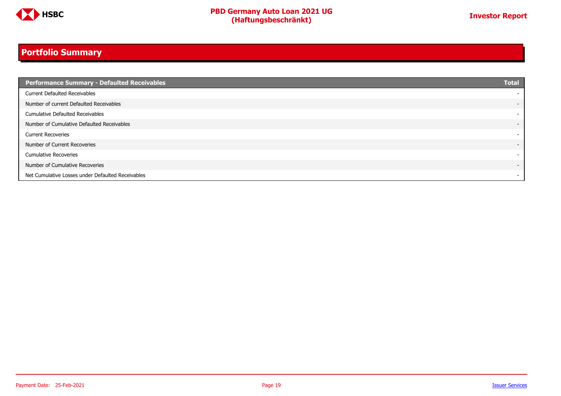

### **Portfolio Summary**

| Performance Summary - Defaulted Receivables       | <b>Total</b>             |
|---------------------------------------------------|--------------------------|
| <b>Current Defaulted Receivables</b>              |                          |
| Number of current Defaulted Receivables           | $\overline{\phantom{0}}$ |
| <b>Cumulative Defaulted Receivables</b>           |                          |
| Number of Cumulative Defaulted Receivables        | $\overline{\phantom{a}}$ |
| <b>Current Recoveries</b>                         |                          |
| Number of Current Recoveries                      | $\overline{\phantom{0}}$ |
| <b>Cumulative Recoveries</b>                      | -                        |
| Number of Cumulative Recoveries                   | $\overline{\phantom{0}}$ |
| Net Cumulative Losses under Defaulted Receivables | $\overline{\phantom{0}}$ |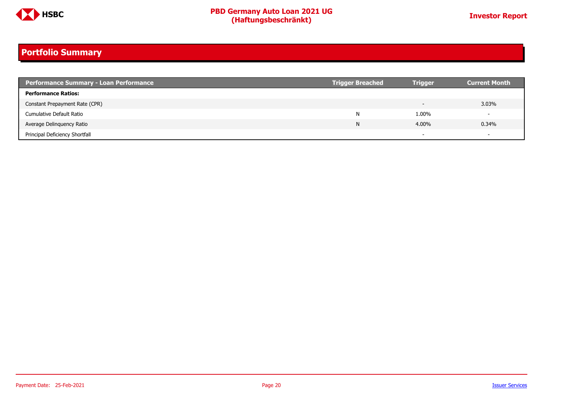

### **Portfolio Summary**

| <b>Performance Summary - Loan Performance</b> | <b>Trigger Breached</b> | <b>Trigger</b> | <b>Current Month</b>     |
|-----------------------------------------------|-------------------------|----------------|--------------------------|
| <b>Performance Ratios:</b>                    |                         |                |                          |
| Constant Prepayment Rate (CPR)                |                         |                | 3.03%                    |
| Cumulative Default Ratio                      | N                       | 1.00%          | $\overline{\phantom{0}}$ |
| Average Delinguency Ratio                     | N                       | 4.00%          | 0.34%                    |
| Principal Deficiency Shortfall                |                         |                | $\overline{\phantom{0}}$ |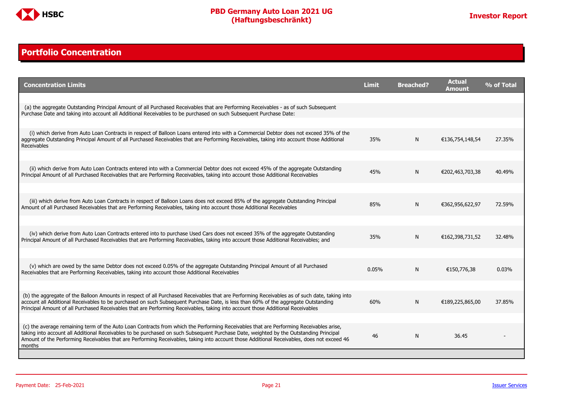

#### <span id="page-20-0"></span>**Portfolio Concentration**

| <b>Concentration Limits</b>                                                                                                                                                                                                                                                                                                                                                                                                              | <b>Limit</b> | <b>Breached?</b> | <b>Actual</b><br>Amount | % of Total |
|------------------------------------------------------------------------------------------------------------------------------------------------------------------------------------------------------------------------------------------------------------------------------------------------------------------------------------------------------------------------------------------------------------------------------------------|--------------|------------------|-------------------------|------------|
|                                                                                                                                                                                                                                                                                                                                                                                                                                          |              |                  |                         |            |
| (a) the aggregate Outstanding Principal Amount of all Purchased Receivables that are Performing Receivables - as of such Subsequent<br>Purchase Date and taking into account all Additional Receivables to be purchased on such Subsequent Purchase Date:                                                                                                                                                                                |              |                  |                         |            |
|                                                                                                                                                                                                                                                                                                                                                                                                                                          |              |                  |                         |            |
| (i) which derive from Auto Loan Contracts in respect of Balloon Loans entered into with a Commercial Debtor does not exceed 35% of the<br>aggregate Outstanding Principal Amount of all Purchased Receivables that are Performing Receivables, taking into account those Additional<br>Receivables                                                                                                                                       | 35%          | N                | €136,754,148,54         | 27.35%     |
|                                                                                                                                                                                                                                                                                                                                                                                                                                          |              |                  |                         |            |
| (ii) which derive from Auto Loan Contracts entered into with a Commercial Debtor does not exceed 45% of the aggregate Outstanding<br>Principal Amount of all Purchased Receivables that are Performing Receivables, taking into account those Additional Receivables                                                                                                                                                                     | 45%          | N                | €202,463,703,38         | 40.49%     |
|                                                                                                                                                                                                                                                                                                                                                                                                                                          |              |                  |                         |            |
| (iii) which derive from Auto Loan Contracts in respect of Balloon Loans does not exceed 85% of the aggregate Outstanding Principal<br>Amount of all Purchased Receivables that are Performing Receivables, taking into account those Additional Receivables                                                                                                                                                                              | 85%          | N                | €362,956,622,97         | 72.59%     |
|                                                                                                                                                                                                                                                                                                                                                                                                                                          |              |                  |                         |            |
| (iv) which derive from Auto Loan Contracts entered into to purchase Used Cars does not exceed 35% of the aggregate Outstanding<br>Principal Amount of all Purchased Receivables that are Performing Receivables, taking into account those Additional Receivables; and                                                                                                                                                                   | 35%          | N                | €162,398,731,52         | 32.48%     |
|                                                                                                                                                                                                                                                                                                                                                                                                                                          |              |                  |                         |            |
| (v) which are owed by the same Debtor does not exceed 0.05% of the aggregate Outstanding Principal Amount of all Purchased<br>Receivables that are Performing Receivables, taking into account those Additional Receivables                                                                                                                                                                                                              | 0.05%        | N                | €150,776,38             | 0.03%      |
|                                                                                                                                                                                                                                                                                                                                                                                                                                          |              |                  |                         |            |
| (b) the aggregate of the Balloon Amounts in respect of all Purchased Receivables that are Performing Receivables as of such date, taking into<br>account all Additional Receivables to be purchased on such Subsequent Purchase Date, is less than 60% of the aggregate Outstanding<br>Principal Amount of all Purchased Receivables that are Performing Receivables, taking into account those Additional Receivables                   | 60%          | N                | €189,225,865,00         | 37.85%     |
|                                                                                                                                                                                                                                                                                                                                                                                                                                          |              |                  |                         |            |
| (c) the average remaining term of the Auto Loan Contracts from which the Performing Receivables that are Performing Receivables arise,<br>taking into account all Additional Receivables to be purchased on such Subsequent Purchase Date, weighted by the Outstanding Principal<br>Amount of the Performing Receivables that are Performing Receivables, taking into account those Additional Receivables, does not exceed 46<br>months | 46           | N                | 36.45                   |            |
|                                                                                                                                                                                                                                                                                                                                                                                                                                          |              |                  |                         |            |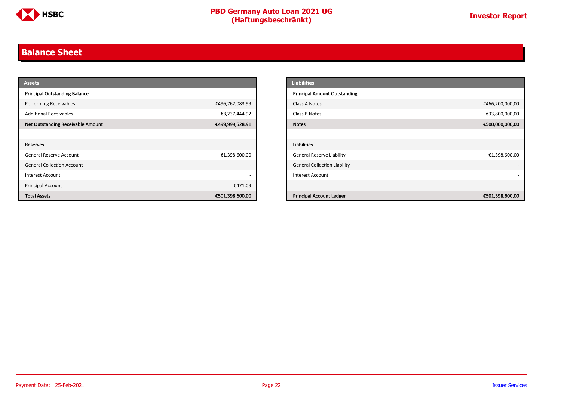

#### <span id="page-21-0"></span>**Balance Sheet**

| <b>Assets</b>                            |                          | <b>Liabilities</b>                                 |
|------------------------------------------|--------------------------|----------------------------------------------------|
| <b>Principal Outstanding Balance</b>     |                          | <b>Principal Amount Outstanding</b>                |
| <b>Performing Receivables</b>            | €496,762,083,99          | €466,200,000,00<br>Class A Notes                   |
| <b>Additional Receivables</b>            | €3,237,444,92            | €33,800,000,00<br>Class B Notes                    |
| <b>Net Outstanding Receivable Amount</b> | €499,999,528,91          | €500,000,000,00<br><b>Notes</b>                    |
|                                          |                          |                                                    |
| Reserves                                 |                          | Liabilities                                        |
| General Reserve Account                  | €1,398,600,00            | <b>General Reserve Liability</b><br>€1,398,600,00  |
| <b>General Collection Account</b>        | $\overline{\phantom{0}}$ | <b>General Collection Liability</b>                |
| Interest Account                         | $\overline{\phantom{0}}$ | <b>Interest Account</b>                            |
| Principal Account                        | €471,09                  |                                                    |
| <b>Total Assets</b>                      | €501,398,600,00          | <b>Principal Account Ledger</b><br>€501,398,600,00 |

| <b>Liabilities</b>                  |                 |
|-------------------------------------|-----------------|
| <b>Principal Amount Outstanding</b> |                 |
| Class A Notes                       | €466,200,000,00 |
| Class B Notes                       | €33,800,000,00  |
| <b>Notes</b>                        | €500,000,000,00 |
|                                     |                 |
| <b>Liabilities</b>                  |                 |
| <b>General Reserve Liability</b>    | €1,398,600,00   |
| <b>General Collection Liability</b> |                 |
| <b>Interest Account</b>             |                 |
|                                     |                 |
| <b>Principal Account Ledger</b>     | €501,398,600,00 |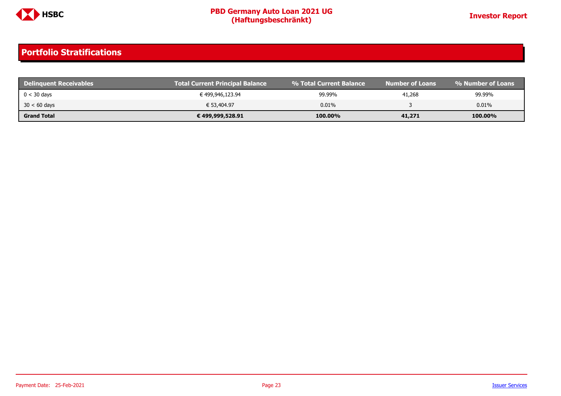

| <b>Delinquent Receivables</b> | <b>Total Current Principal Balance</b> | ↓% Total Current Balance \ | <b>Number of Loans</b> | % Number of Loans |
|-------------------------------|----------------------------------------|----------------------------|------------------------|-------------------|
| $0 < 30$ days                 | € 499,946,123.94                       | 99.99%                     | 41,268                 | 99.99%            |
| $30 < 60$ days                | € 53,404.97                            | 0.01%                      |                        | 0.01%             |
| <b>Grand Total</b>            | € 499,999,528.91                       | 100.00%                    | 41,271                 | 100.00%           |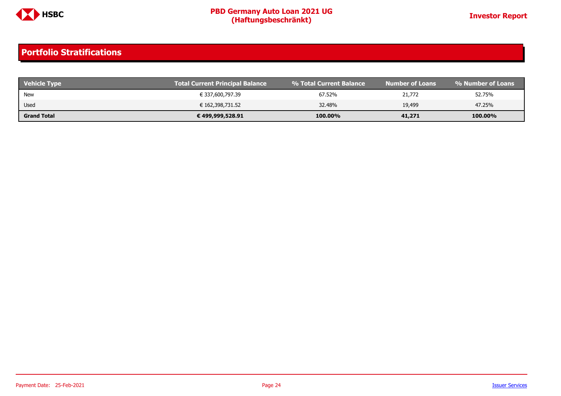

| <b>Vehicle Type</b> | Total Current Principal Balance | 1 % Total Current Balance | <b>Number of Loans</b> | । % Number of Loans ' |
|---------------------|---------------------------------|---------------------------|------------------------|-----------------------|
| New                 | € 337,600,797.39                | 67.52%                    | 21,772                 | 52.75%                |
| Used                | € 162,398,731.52                | 32.48%                    | 19,499                 | 47.25%                |
| <b>Grand Total</b>  | € 499,999,528.91                | 100.00%                   | 41,271                 | 100.00%               |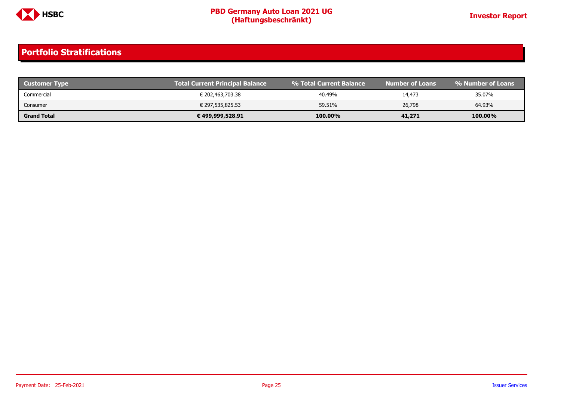

| <b>Customer Type</b> | Total Current Principal Balance | ↓% Total Current Balance \ | Number of Loans \ | l % Number of Loans |
|----------------------|---------------------------------|----------------------------|-------------------|---------------------|
| Commercial           | € 202,463,703.38                | 40.49%                     | 14,473            | 35.07%              |
| Consumer             | € 297,535,825.53                | 59.51%                     | 26,798            | 64.93%              |
| <b>Grand Total</b>   | € 499,999,528.91                | 100.00%                    | 41,271            | 100.00%             |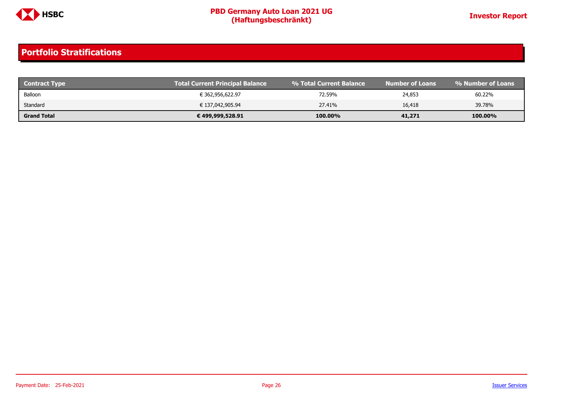

| <b>Contract Type</b> | <b>Total Current Principal Balance</b> | ↓% Total Current Balance \ | Number of Loans' | % Number of Loans |
|----------------------|----------------------------------------|----------------------------|------------------|-------------------|
| Balloon              | € 362,956,622.97                       | 72.59%                     | 24,853           | 60.22%            |
| Standard             | € 137,042,905.94                       | 27.41%                     | 16,418           | 39.78%            |
| <b>Grand Total</b>   | € 499,999,528.91                       | 100.00%                    | 41,271           | 100.00%           |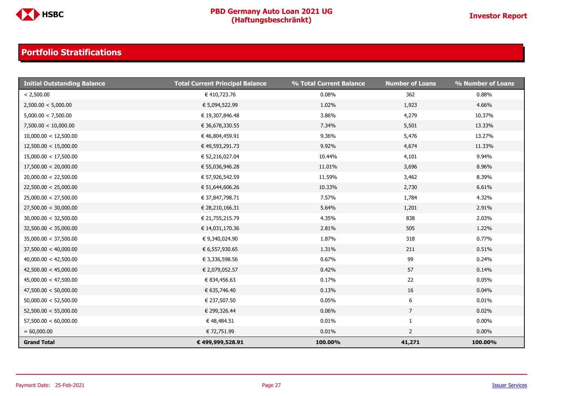

| <b>Initial Outstanding Balance</b> | <b>Total Current Principal Balance</b> | % Total Current Balance | <b>Number of Loans</b> | % Number of Loans |
|------------------------------------|----------------------------------------|-------------------------|------------------------|-------------------|
| < 2,500.00                         | € 410,723.76                           | 0.08%                   | 362                    | 0.88%             |
| 2,500.00 < 5,000.00                | € 5,094,522.99                         | 1.02%                   | 1,923                  | 4.66%             |
| 5,000.00 < 7,500.00                | € 19,307,846.48                        | 3.86%                   | 4,279                  | 10.37%            |
| 7,500.00 < 10,000.00               | € 36,678,330.55                        | 7.34%                   | 5,501                  | 13.33%            |
| 10,000.00 < 12,500.00              | € 46,804,459.91                        | 9.36%                   | 5,476                  | 13.27%            |
| 12,500.00 < 15,000.00              | € 49,593,291.73                        | 9.92%                   | 4,674                  | 11.33%            |
| 15,000.00 < 17,500.00              | € 52,216,027.04                        | 10.44%                  | 4,101                  | 9.94%             |
| 17,500.00 < 20,000.00              | € 55,036,946.28                        | 11.01%                  | 3,696                  | 8.96%             |
| 20,000.00 < 22,500.00              | € 57,926,542.59                        | 11.59%                  | 3,462                  | 8.39%             |
| 22,500.00 < 25,000.00              | € 51,644,606.26                        | 10.33%                  | 2,730                  | 6.61%             |
| 25,000.00 < 27,500.00              | € 37,847,798.71                        | 7.57%                   | 1,784                  | 4.32%             |
| 27,500.00 < 30,000.00              | € 28,210,166.31                        | 5.64%                   | 1,201                  | 2.91%             |
| 30,000.00 < 32,500.00              | € 21,755,215.79                        | 4.35%                   | 838                    | 2.03%             |
| 32,500.00 < 35,000.00              | € 14,031,170.36                        | 2.81%                   | 505                    | 1.22%             |
| 35,000.00 < 37,500.00              | € 9,340,024.90                         | 1.87%                   | 318                    | 0.77%             |
| 37,500.00 < 40,000.00              | € 6,557,930.65                         | 1.31%                   | 211                    | 0.51%             |
| 40,000.00 < 42,500.00              | € 3,336,598.56                         | 0.67%                   | 99                     | 0.24%             |
| 42,500.00 < 45,000.00              | € 2,079,052.57                         | 0.42%                   | 57                     | 0.14%             |
| 45,000.00 < 47,500.00              | € 834,456.63                           | 0.17%                   | 22                     | 0.05%             |
| 47,500.00 < 50,000.00              | € 635,746.40                           | 0.13%                   | 16                     | 0.04%             |
| 50,000.00 < 52,500.00              | € 237,507.50                           | 0.05%                   | 6                      | 0.01%             |
| 52,500.00 < 55,000.00              | € 299,326.44                           | 0.06%                   | $\overline{7}$         | 0.02%             |
| 57,500.00 < 60,000.00              | € 48,484.51                            | 0.01%                   | $\mathbf{1}$           | $0.00\%$          |
| $= 60,000.00$                      | € 72,751.99                            | 0.01%                   | $\overline{2}$         | $0.00\%$          |
| <b>Grand Total</b>                 | € 499,999,528.91                       | 100.00%                 | 41,271                 | 100.00%           |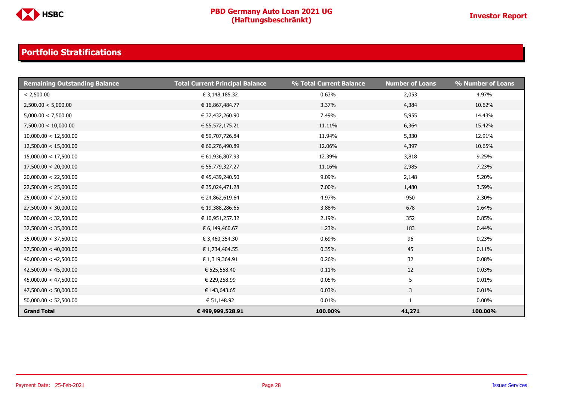

| <b>Remaining Outstanding Balance</b> | <b>Total Current Principal Balance</b> | % Total Current Balance | <b>Number of Loans</b> | % Number of Loans |
|--------------------------------------|----------------------------------------|-------------------------|------------------------|-------------------|
| < 2,500.00                           | € 3,148,185.32                         | 0.63%                   | 2,053                  | 4.97%             |
| 2,500.00 < 5,000.00                  | € 16,867,484.77                        | 3.37%                   | 4,384                  | 10.62%            |
| 5,000.00 < 7,500.00                  | € 37,432,260.90                        | 7.49%                   | 5,955                  | 14.43%            |
| 7,500.00 < 10,000.00                 | € 55,572,175.21                        | 11.11%                  | 6,364                  | 15.42%            |
| 10,000.00 < 12,500.00                | € 59,707,726.84                        | 11.94%                  | 5,330                  | 12.91%            |
| 12,500.00 < 15,000.00                | € 60,276,490.89                        | 12.06%                  | 4,397                  | 10.65%            |
| 15,000.00 < 17,500.00                | € 61,936,807.93                        | 12.39%                  | 3,818                  | 9.25%             |
| 17,500.00 < 20,000.00                | € 55,779,327.27                        | 11.16%                  | 2,985                  | 7.23%             |
| 20,000.00 < 22,500.00                | € 45,439,240.50                        | 9.09%                   | 2,148                  | 5.20%             |
| 22,500.00 < 25,000.00                | € 35,024,471.28                        | 7.00%                   | 1,480                  | 3.59%             |
| 25,000.00 < 27,500.00                | € 24,862,619.64                        | 4.97%                   | 950                    | 2.30%             |
| 27,500.00 < 30,000.00                | € 19,388,286.65                        | 3.88%                   | 678                    | 1.64%             |
| 30,000.00 < 32,500.00                | € 10,951,257.32                        | 2.19%                   | 352                    | 0.85%             |
| 32,500.00 < 35,000.00                | € 6,149,460.67                         | 1.23%                   | 183                    | 0.44%             |
| 35,000.00 < 37,500.00                | € 3,460,354.30                         | 0.69%                   | 96                     | 0.23%             |
| 37,500.00 < 40,000.00                | € 1,734,404.55                         | 0.35%                   | 45                     | 0.11%             |
| 40,000.00 < 42,500.00                | € 1,319,364.91                         | 0.26%                   | 32                     | 0.08%             |
| 42,500.00 < 45,000.00                | € 525,558.40                           | 0.11%                   | 12                     | 0.03%             |
| 45,000.00 < 47,500.00                | € 229,258.99                           | 0.05%                   | 5                      | 0.01%             |
| 47,500.00 < 50,000.00                | € 143,643.65                           | 0.03%                   | 3                      | 0.01%             |
| 50,000.00 < 52,500.00                | € 51,148.92                            | 0.01%                   | 1                      | $0.00\%$          |
| <b>Grand Total</b>                   | € 499,999,528.91                       | 100.00%                 | 41,271                 | 100.00%           |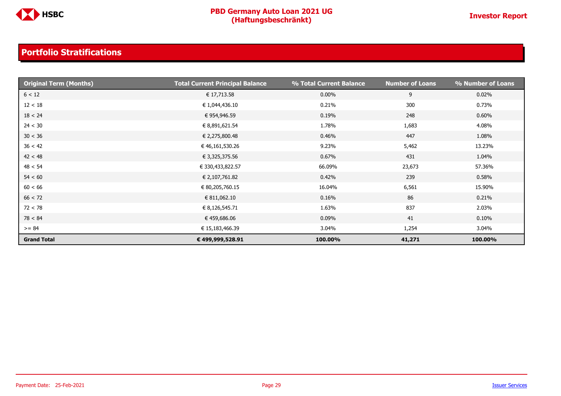

| <b>Original Term (Months)</b> | <b>Total Current Principal Balance</b> | % Total Current Balance | <b>Number of Loans</b> | % Number of Loans |
|-------------------------------|----------------------------------------|-------------------------|------------------------|-------------------|
| 6 < 12                        | € 17,713.58                            | $0.00\%$                | 9                      | 0.02%             |
| 12 < 18                       | € 1,044,436.10                         | 0.21%                   | 300                    | 0.73%             |
| 18 < 24                       | € 954,946.59                           | 0.19%                   | 248                    | 0.60%             |
| 24 < 30                       | € 8,891,621.54                         | 1.78%                   | 1,683                  | 4.08%             |
| 30 < 36                       | € 2,275,800.48                         | 0.46%                   | 447                    | 1.08%             |
| 36 < 42                       | € 46,161,530.26                        | 9.23%                   | 5,462                  | 13.23%            |
| 42 < 48                       | € 3,325,375.56                         | 0.67%                   | 431                    | 1.04%             |
| 48 < 54                       | € 330,433,822.57                       | 66.09%                  | 23,673                 | 57.36%            |
| 54 < 60                       | € 2,107,761.82                         | 0.42%                   | 239                    | 0.58%             |
| 60 < 66                       | € 80,205,760.15                        | 16.04%                  | 6,561                  | 15.90%            |
| 66 < 72                       | € 811,062.10                           | 0.16%                   | 86                     | 0.21%             |
| 72 < 78                       | € 8,126,545.71                         | 1.63%                   | 837                    | 2.03%             |
| 78 < 84                       | € 459,686.06                           | 0.09%                   | 41                     | 0.10%             |
| $>= 84$                       | € 15,183,466.39                        | 3.04%                   | 1,254                  | 3.04%             |
| <b>Grand Total</b>            | € 499,999,528.91                       | 100.00%                 | 41,271                 | 100.00%           |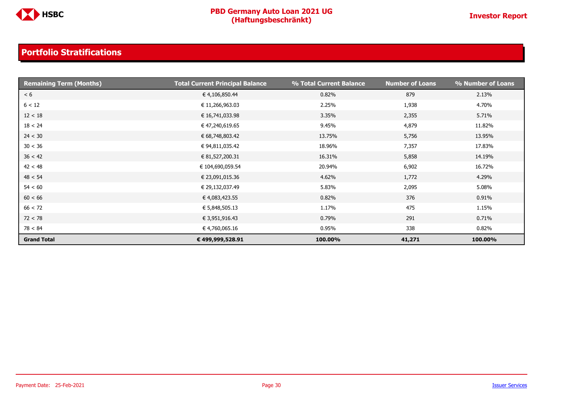

| <b>Remaining Term (Months)</b> | <b>Total Current Principal Balance</b> | % Total Current Balance | Number of Loans | % Number of Loans |
|--------------------------------|----------------------------------------|-------------------------|-----------------|-------------------|
| < 6                            | € 4,106,850.44                         | 0.82%                   | 879             | 2.13%             |
| 6 < 12                         | € 11,266,963.03                        | 2.25%                   | 1,938           | 4.70%             |
| 12 < 18                        | € 16,741,033.98                        | 3.35%                   | 2,355           | 5.71%             |
| 18 < 24                        | € 47,240,619.65                        | 9.45%                   | 4,879           | 11.82%            |
| 24 < 30                        | € 68,748,803.42                        | 13.75%                  | 5,756           | 13.95%            |
| 30 < 36                        | € 94,811,035.42                        | 18.96%                  | 7,357           | 17.83%            |
| 36 < 42                        | € 81,527,200.31                        | 16.31%                  | 5,858           | 14.19%            |
| 42 < 48                        | € 104,690,059.54                       | 20.94%                  | 6,902           | 16.72%            |
| 48 < 54                        | € 23,091,015.36                        | 4.62%                   | 1,772           | 4.29%             |
| 54 < 60                        | € 29,132,037.49                        | 5.83%                   | 2,095           | 5.08%             |
| 60 < 66                        | € 4,083,423.55                         | 0.82%                   | 376             | 0.91%             |
| 66 < 72                        | € 5,848,505.13                         | 1.17%                   | 475             | 1.15%             |
| 72 < 78                        | € 3,951,916.43                         | 0.79%                   | 291             | 0.71%             |
| 78 < 84                        | € 4,760,065.16                         | 0.95%                   | 338             | 0.82%             |
| <b>Grand Total</b>             | € 499,999,528.91                       | 100.00%                 | 41,271          | 100.00%           |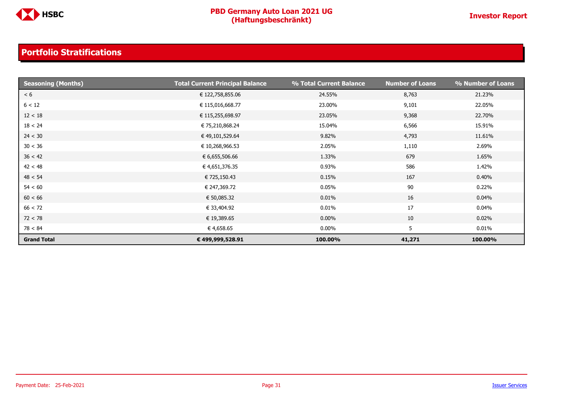

| <b>Seasoning (Months)</b> | <b>Total Current Principal Balance</b> | % Total Current Balance | <b>Number of Loans</b> | % Number of Loans |
|---------------------------|----------------------------------------|-------------------------|------------------------|-------------------|
| < 6                       | € 122,758,855.06                       | 24.55%                  | 8,763                  | 21.23%            |
| 6 < 12                    | € 115,016,668.77                       | 23.00%                  | 9,101                  | 22.05%            |
| 12 < 18                   | € 115,255,698.97                       | 23.05%                  | 9,368                  | 22.70%            |
| 18 < 24                   | € 75,210,868.24                        | 15.04%                  | 6,566                  | 15.91%            |
| 24 < 30                   | € 49,101,529.64                        | 9.82%                   | 4,793                  | 11.61%            |
| 30 < 36                   | € 10,268,966.53                        | 2.05%                   | 1,110                  | 2.69%             |
| 36 < 42                   | € 6,655,506.66                         | 1.33%                   | 679                    | 1.65%             |
| 42 < 48                   | € 4,651,376.35                         | 0.93%                   | 586                    | 1.42%             |
| 48 < 54                   | € 725,150.43                           | 0.15%                   | 167                    | 0.40%             |
| 54 < 60                   | € 247,369.72                           | 0.05%                   | 90                     | 0.22%             |
| 60 < 66                   | € 50,085.32                            | 0.01%                   | 16                     | 0.04%             |
| 66 < 72                   | € 33,404.92                            | 0.01%                   | 17                     | 0.04%             |
| 72 < 78                   | € 19,389.65                            | $0.00\%$                | 10                     | 0.02%             |
| 78 < 84                   | € 4,658.65                             | $0.00\%$                | 5                      | 0.01%             |
| <b>Grand Total</b>        | € 499,999,528.91                       | 100.00%                 | 41,271                 | 100.00%           |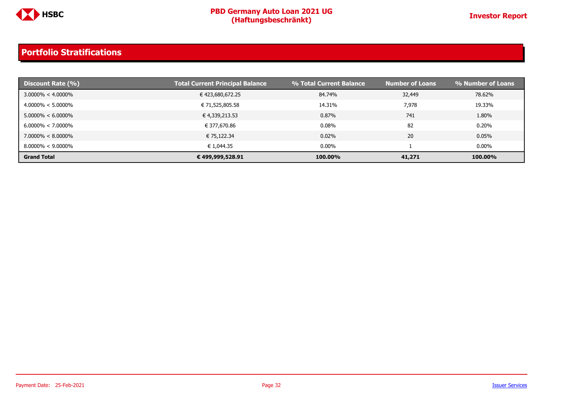

| Discount Rate (%)     | <b>Total Current Principal Balance</b> | % Total Current Balance | <b>Number of Loans</b> | % Number of Loans |
|-----------------------|----------------------------------------|-------------------------|------------------------|-------------------|
| $3.0000\% < 4.0000\%$ | € 423,680,672.25                       | 84.74%                  | 32,449                 | 78.62%            |
| $4.0000\% < 5.0000\%$ | € 71,525,805.58                        | 14.31%                  | 7,978                  | 19.33%            |
| $5.0000\% < 6.0000\%$ | € 4,339,213.53                         | 0.87%                   | 741                    | 1.80%             |
| $6.0000\% < 7.0000\%$ | € 377,670.86                           | 0.08%                   | 82                     | 0.20%             |
| $7.0000\% < 8.0000\%$ | € 75,122.34                            | 0.02%                   | 20                     | 0.05%             |
| $8.0000\% < 9.0000\%$ | € 1,044.35                             | $0.00\%$                |                        | $0.00\%$          |
| <b>Grand Total</b>    | € 499,999,528.91                       | 100.00%                 | 41,271                 | 100.00%           |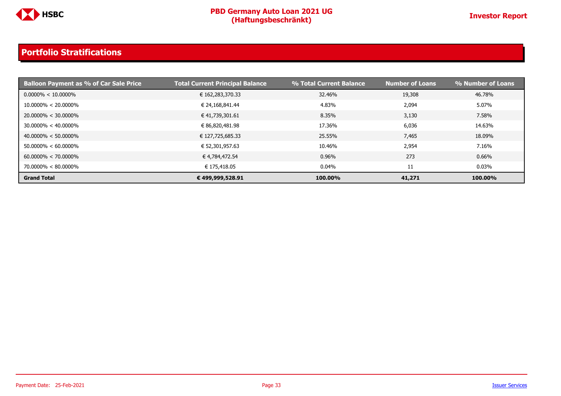

| <b>Balloon Payment as % of Car Sale Price</b> | <b>Total Current Principal Balance</b> | % Total Current Balance | <b>Number of Loans</b> | % Number of Loans |
|-----------------------------------------------|----------------------------------------|-------------------------|------------------------|-------------------|
| $0.0000\% < 10.0000\%$                        | € 162,283,370.33                       | 32.46%                  | 19,308                 | 46.78%            |
| $10.0000\% < 20.0000\%$                       | € 24,168,841.44                        | 4.83%                   | 2,094                  | 5.07%             |
| $20.0000\% < 30.0000\%$                       | € 41,739,301.61                        | 8.35%                   | 3,130                  | 7.58%             |
| $30.0000\% < 40.0000\%$                       | € 86,820,481.98                        | 17.36%                  | 6,036                  | 14.63%            |
| $40.0000\% < 50.0000\%$                       | € 127,725,685.33                       | 25.55%                  | 7,465                  | 18.09%            |
| $50.0000\% < 60.0000\%$                       | € 52,301,957.63                        | 10.46%                  | 2,954                  | 7.16%             |
| $60.0000\% < 70.0000\%$                       | € 4,784,472.54                         | 0.96%                   | 273                    | 0.66%             |
| $70.0000\% < 80.0000\%$                       | € 175,418.05                           | $0.04\%$                | 11                     | 0.03%             |
| <b>Grand Total</b>                            | € 499,999,528.91                       | 100.00%                 | 41,271                 | 100.00%           |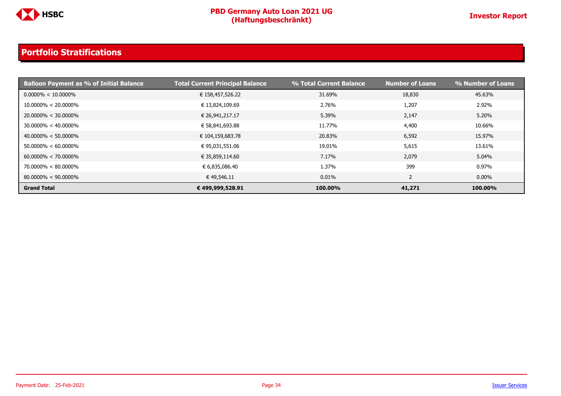

| <b>Balloon Payment as % of Initial Balance</b> | <b>Total Current Principal Balance</b> | % Total Current Balance | <b>Number of Loans</b> | % Number of Loans |
|------------------------------------------------|----------------------------------------|-------------------------|------------------------|-------------------|
| $0.0000\% < 10.0000\%$                         | € 158,457,526.22                       | 31.69%                  | 18,830                 | 45.63%            |
| $10.0000\% < 20.0000\%$                        | € 13,824,109.69                        | 2.76%                   | 1,207                  | 2.92%             |
| $20.0000\% < 30.0000\%$                        | € 26,941,217.17                        | 5.39%                   | 2,147                  | 5.20%             |
| $30.0000\% < 40.0000\%$                        | € 58,841,693.88                        | 11.77%                  | 4,400                  | 10.66%            |
| $40.0000\% < 50.0000\%$                        | € 104,159,683.78                       | 20.83%                  | 6,592                  | 15.97%            |
| $50.0000\% < 60.0000\%$                        | € 95,031,551.06                        | 19.01%                  | 5,615                  | 13.61%            |
| $60.0000\% < 70.0000\%$                        | € 35,859,114.60                        | 7.17%                   | 2,079                  | 5.04%             |
| $70.0000\% < 80.0000\%$                        | € 6,835,086.40                         | 1.37%                   | 399                    | 0.97%             |
| $80.0000\% < 90.0000\%$                        | € 49,546.11                            | 0.01%                   | ∠                      | $0.00\%$          |
| <b>Grand Total</b>                             | € 499,999,528.91                       | 100.00%                 | 41,271                 | 100.00%           |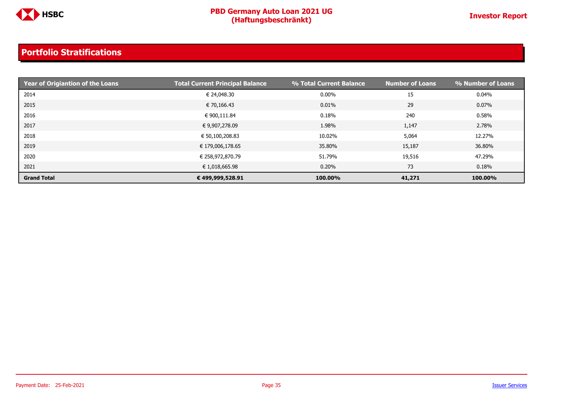

| <b>Print Year of Origiantion of the Loans</b> | <b>Total Current Principal Balance</b> | % Total Current Balance | <b>Number of Loans</b> | % Number of Loans |
|-----------------------------------------------|----------------------------------------|-------------------------|------------------------|-------------------|
| 2014                                          | € 24,048.30                            | $0.00\%$                | 15                     | $0.04\%$          |
| 2015                                          | € 70,166.43                            | 0.01%                   | 29                     | $0.07\%$          |
| 2016                                          | € 900,111.84                           | 0.18%                   | 240                    | 0.58%             |
| 2017                                          | € 9,907,278.09                         | 1.98%                   | 1,147                  | 2.78%             |
| 2018                                          | € 50,100,208.83                        | 10.02%                  | 5,064                  | 12.27%            |
| 2019                                          | € 179,006,178.65                       | 35.80%                  | 15,187                 | 36.80%            |
| 2020                                          | € 258,972,870.79                       | 51.79%                  | 19,516                 | 47.29%            |
| 2021                                          | € 1,018,665.98                         | 0.20%                   | 73                     | 0.18%             |
| <b>Grand Total</b>                            | €499,999,528.91                        | 100.00%                 | 41,271                 | 100.00%           |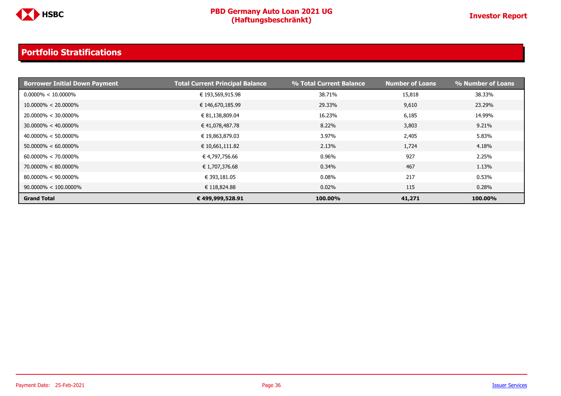

| <b>Borrower Initial Down Payment</b> | <b>Total Current Principal Balance</b> | % Total Current Balance | <b>Number of Loans</b> | % Number of Loans |
|--------------------------------------|----------------------------------------|-------------------------|------------------------|-------------------|
| $0.0000\% < 10.0000\%$               | € 193,569,915.98                       | 38.71%                  | 15,818                 | 38.33%            |
| $10.0000\% < 20.0000\%$              | € 146,670,185.99                       | 29.33%                  | 9,610                  | 23.29%            |
| $20.0000\% < 30.0000\%$              | € 81,138,809.04                        | 16.23%                  | 6,185                  | 14.99%            |
| $30.0000\% < 40.0000\%$              | € 41,078,487.78                        | 8.22%                   | 3,803                  | 9.21%             |
| $40.0000\% < 50.0000\%$              | € 19,863,879.03                        | 3.97%                   | 2,405                  | 5.83%             |
| $50.0000\% < 60.0000\%$              | € 10,661,111.82                        | 2.13%                   | 1,724                  | 4.18%             |
| $60.0000\% < 70.0000\%$              | € 4,797,756.66                         | 0.96%                   | 927                    | 2.25%             |
| $70.0000\% < 80.0000\%$              | € 1,707,376.68                         | 0.34%                   | 467                    | 1.13%             |
| $80.0000\% < 90.0000\%$              | € 393,181.05                           | 0.08%                   | 217                    | 0.53%             |
| $90.0000\% < 100.0000\%$             | € 118,824.88                           | 0.02%                   | 115                    | 0.28%             |
| <b>Grand Total</b>                   | € 499,999,528.91                       | 100.00%                 | 41,271                 | 100.00%           |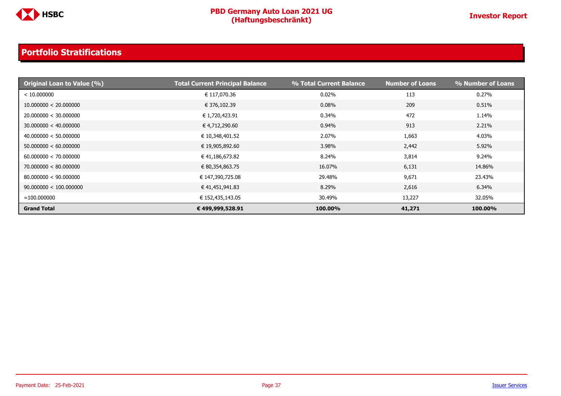

| <b>Original Loan to Value (%)</b> | <b>Total Current Principal Balance</b> | % Total Current Balance | <b>Number of Loans</b> | % Number of Loans |
|-----------------------------------|----------------------------------------|-------------------------|------------------------|-------------------|
| < 10.000000                       | € 117,070.36                           | 0.02%                   | 113                    | 0.27%             |
| 10.000000 < 20.000000             | € 376,102.39                           | 0.08%                   | 209                    | 0.51%             |
| 20.000000 < 30.000000             | € 1,720,423.91                         | 0.34%                   | 472                    | 1.14%             |
| 30.000000 < 40.000000             | € 4,712,290.60                         | 0.94%                   | 913                    | 2.21%             |
| 40.000000 < 50.000000             | € 10,348,401.52                        | 2.07%                   | 1,663                  | 4.03%             |
| 50.000000 < 60.000000             | € 19,905,892.60                        | 3.98%                   | 2,442                  | 5.92%             |
| 60.000000 < 70.000000             | € 41,186,673.82                        | 8.24%                   | 3,814                  | 9.24%             |
| 70.000000 < 80.000000             | € 80,354,863.75                        | 16.07%                  | 6,131                  | 14.86%            |
| 80.000000 < 90.000000             | € 147,390,725.08                       | 29.48%                  | 9,671                  | 23.43%            |
| 90.000000 < 100.000000            | € 41,451,941.83                        | 8.29%                   | 2,616                  | 6.34%             |
| $=100.000000$                     | € 152,435,143.05                       | 30.49%                  | 13,227                 | 32.05%            |
| <b>Grand Total</b>                | € 499,999,528.91                       | 100.00%                 | 41,271                 | 100.00%           |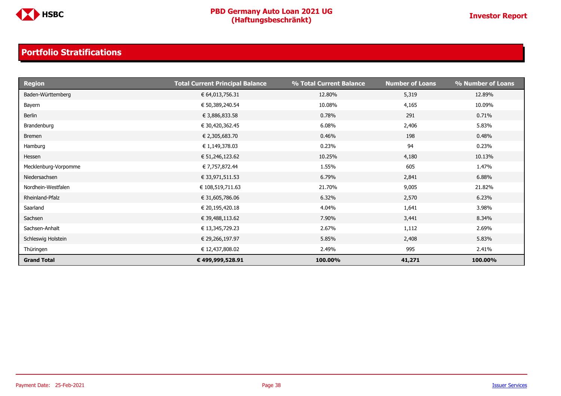

| <b>Region</b>        | <b>Total Current Principal Balance</b> | % Total Current Balance | <b>Number of Loans</b> | % Number of Loans |
|----------------------|----------------------------------------|-------------------------|------------------------|-------------------|
| Baden-Württemberg    | € 64,013,756.31                        | 12.80%                  | 5,319                  | 12.89%            |
| Bayern               | € 50,389,240.54                        | 10.08%                  | 4,165                  | 10.09%            |
| Berlin               | € 3,886,833.58                         | 0.78%                   | 291                    | 0.71%             |
| Brandenburg          | € 30,420,362.45                        | 6.08%                   | 2,406                  | 5.83%             |
| <b>Bremen</b>        | € 2,305,683.70                         | 0.46%                   | 198                    | 0.48%             |
| Hamburg              | € 1,149,378.03                         | 0.23%                   | 94                     | 0.23%             |
| Hessen               | € 51,246,123.62                        | 10.25%                  | 4,180                  | 10.13%            |
| Mecklenburg-Vorpomme | € 7,757,872.44                         | 1.55%                   | 605                    | 1.47%             |
| Niedersachsen        | € 33,971,511.53                        | 6.79%                   | 2,841                  | 6.88%             |
| Nordhein-Westfalen   | € 108,519,711.63                       | 21.70%                  | 9,005                  | 21.82%            |
| Rheinland-Pfalz      | € 31,605,786.06                        | 6.32%                   | 2,570                  | 6.23%             |
| Saarland             | € 20,195,420.18                        | 4.04%                   | 1,641                  | 3.98%             |
| Sachsen              | € 39,488,113.62                        | 7.90%                   | 3,441                  | 8.34%             |
| Sachsen-Anhalt       | € 13,345,729.23                        | 2.67%                   | 1,112                  | 2.69%             |
| Schleswig Holstein   | € 29,266,197.97                        | 5.85%                   | 2,408                  | 5.83%             |
| Thüringen            | € 12,437,808.02                        | 2.49%                   | 995                    | 2.41%             |
| <b>Grand Total</b>   | € 499,999,528.91                       | 100.00%                 | 41,271                 | 100.00%           |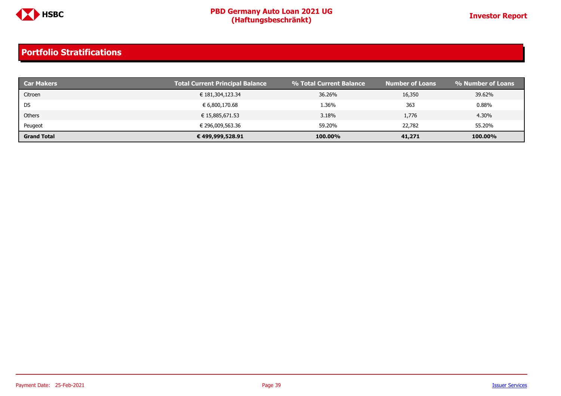

| <b>Car Makers</b>  | <b>Total Current Principal Balance</b> | % Total Current Balance | <b>Number of Loans</b> | <sup>1</sup> % Number of Loans |
|--------------------|----------------------------------------|-------------------------|------------------------|--------------------------------|
| Citroen            | € 181,304,123.34                       | 36.26%                  | 16,350                 | 39.62%                         |
| DS                 | € 6,800,170.68                         | 1.36%                   | 363                    | 0.88%                          |
| Others             | € 15,885,671.53                        | 3.18%                   | 1,776                  | 4.30%                          |
| Peugeot            | € 296,009,563.36                       | 59.20%                  | 22,782                 | 55.20%                         |
| <b>Grand Total</b> | € 499,999,528.91                       | 100.00%                 | 41,271                 | 100.00%                        |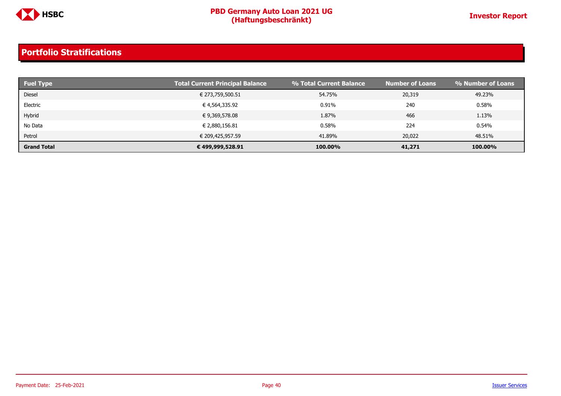

| <b>Fuel Type</b>   | <b>Total Current Principal Balance</b> | % Total Current Balance | <b>Number of Loans</b> | % Number of Loans |
|--------------------|----------------------------------------|-------------------------|------------------------|-------------------|
| <b>Diesel</b>      | € 273,759,500.51                       | 54.75%                  | 20,319                 | 49.23%            |
| Electric           | € 4,564,335.92                         | 0.91%                   | 240                    | 0.58%             |
| Hybrid             | € 9,369,578.08                         | 1.87%                   | 466                    | 1.13%             |
| No Data            | € 2,880,156.81                         | 0.58%                   | 224                    | 0.54%             |
| Petrol             | € 209,425,957.59                       | 41.89%                  | 20,022                 | 48.51%            |
| <b>Grand Total</b> | € 499,999,528.91                       | 100.00%                 | 41,271                 | 100.00%           |